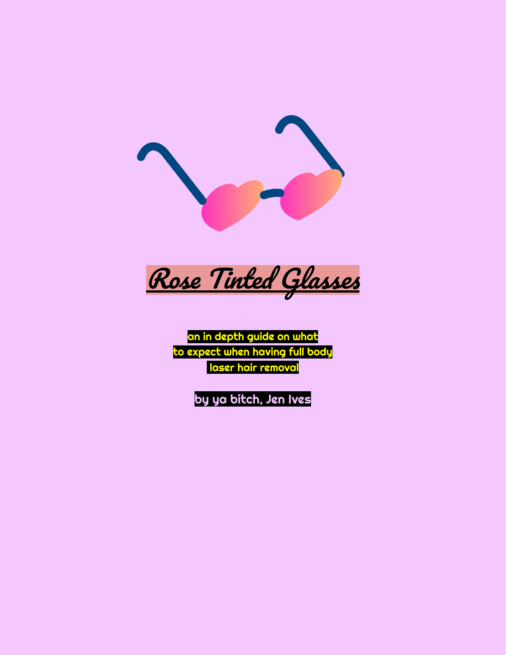

Rose Tinted Glasses

an in depth guide on what to expect when having full body laser hair removal

by ya bitch, Jen Ives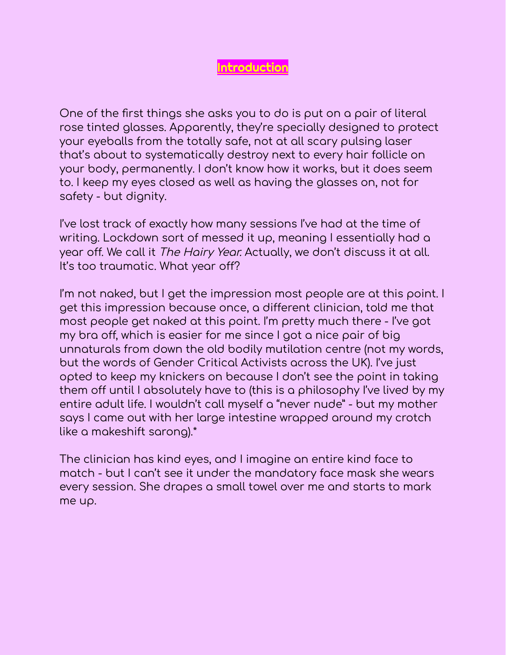## Introduction

One of the first things she asks you to do is put on a pair of literal rose tinted glasses. Apparently, they're specially designed to protect your eyeballs from the totally safe, not at all scary pulsing laser that's about to systematically destroy next to every hair follicle on your body, permanently. I don't know how it works, but it does seem to. I keep my eyes closed as well as having the glasses on, not for safety - but dignity.

I've lost track of exactly how many sessions I've had at the time of writing. Lockdown sort of messed it up, meaning I essentially had a year off. We call it The Hairy Year. Actually, we don't discuss it at all. It's too traumatic. What year off?

I'm not naked, but I get the impression most people are at this point. I get this impression because once, a different clinician, told me that most people get naked at this point. I'm pretty much there - I've got my bra off, which is easier for me since I got a nice pair of big unnaturals from down the old bodily mutilation centre (not my words, but the words of Gender Critical Activists across the UK). I've just opted to keep my knickers on because I don't see the point in taking them off until I absolutely have to (this is a philosophy I've lived by my entire adult life. I wouldn't call myself a "never nude" - but my mother says I came out with her large intestine wrapped around my crotch like a makeshift sarong).\*

The clinician has kind eyes, and I imagine an entire kind face to match - but I can't see it under the mandatory face mask she wears every session. She drapes a small towel over me and starts to mark me up.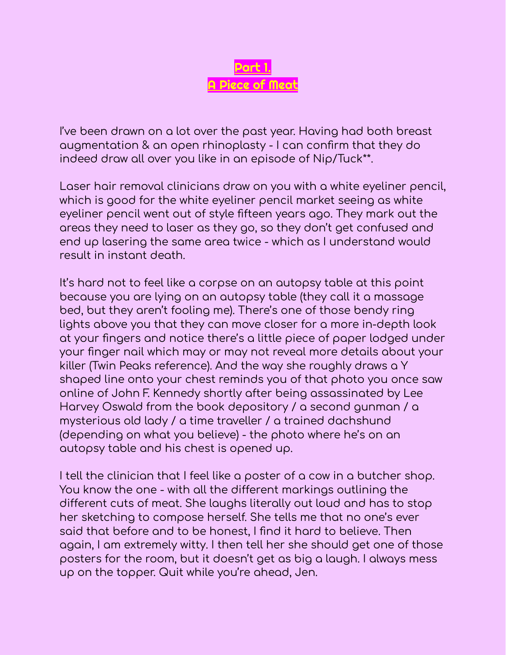

I've been drawn on a lot over the past year. Having had both breast augmentation & an open rhinoplasty - I can confirm that they do indeed draw all over you like in an episode of Nip/Tuck\*\*.

Laser hair removal clinicians draw on you with a white eyeliner pencil, which is good for the white eyeliner pencil market seeing as white eyeliner pencil went out of style fifteen years ago. They mark out the areas they need to laser as they go, so they don't get confused and end up lasering the same area twice - which as I understand would result in instant death.

It's hard not to feel like a corpse on an autopsy table at this point because you are lying on an autopsy table (they call it a massage bed, but they aren't fooling me). There's one of those bendy ring lights above you that they can move closer for a more in-depth look at your fingers and notice there's a little piece of paper lodged under your finger nail which may or may not reveal more details about your killer (Twin Peaks reference). And the way she roughly draws a Y shaped line onto your chest reminds you of that photo you once saw online of John F. Kennedy shortly after being assassinated by Lee Harvey Oswald from the book depository / a second gunman / a mysterious old lady / a time traveller / a trained dachshund (depending on what you believe) - the photo where he's on an autopsy table and his chest is opened up.

I tell the clinician that I feel like a poster of a cow in a butcher shop. You know the one - with all the different markings outlining the different cuts of meat. She laughs literally out loud and has to stop her sketching to compose herself. She tells me that no one's ever said that before and to be honest, I find it hard to believe. Then again, I am extremely witty. I then tell her she should get one of those posters for the room, but it doesn't get as big a laugh. I always mess up on the topper. Quit while you're ahead, Jen.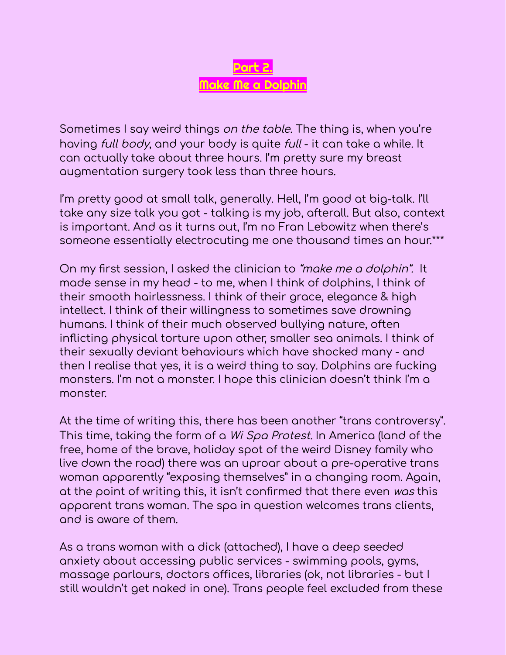

Sometimes I say weird things on the table. The thing is, when you're having full body, and your body is quite full - it can take a while. It can actually take about three hours. I'm pretty sure my breast augmentation surgery took less than three hours.

I'm pretty good at small talk, generally. Hell, I'm good at big-talk. I'll take any size talk you got - talking is my job, afterall. But also, context is important. And as it turns out, I'm no Fran Lebowitz when there's someone essentially electrocuting me one thousand times an hour.\*\*\*

On my first session, I asked the clinician to "make me <sup>a</sup> dolphin". It made sense in my head - to me, when I think of dolphins, I think of their smooth hairlessness. I think of their grace, elegance & high intellect. I think of their willingness to sometimes save drowning humans. I think of their much observed bullying nature, often inflicting physical torture upon other, smaller sea animals. I think of their sexually deviant behaviours which have shocked many - and then I realise that yes, it is a weird thing to say. Dolphins are fucking monsters. I'm not a monster. I hope this clinician doesn't think I'm a monster.

At the time of writing this, there has been another "trans controversy". This time, taking the form of a Wi Spa Protest. In America (land of the free, home of the brave, holiday spot of the weird Disney family who live down the road) there was an uproar about a pre-operative trans woman apparently "exposing themselves" in a changing room. Again, at the point of writing this, it isn't confirmed that there even was this apparent trans woman. The spa in question welcomes trans clients, and is aware of them.

As a trans woman with a dick (attached), I have a deep seeded anxiety about accessing public services - swimming pools, gyms, massage parlours, doctors offices, libraries (ok, not libraries - but I still wouldn't get naked in one). Trans people feel excluded from these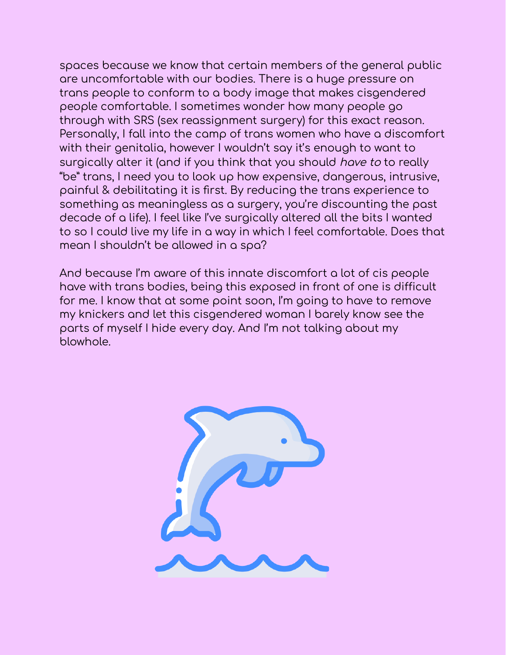spaces because we know that certain members of the general public are uncomfortable with our bodies. There is a huge pressure on trans people to conform to a body image that makes cisgendered people comfortable. I sometimes wonder how many people go through with SRS (sex reassignment surgery) for this exact reason. Personally, I fall into the camp of trans women who have a discomfort with their genitalia, however I wouldn't say it's enough to want to surgically alter it (and if you think that you should have to to really "be" trans, I need you to look up how expensive, dangerous, intrusive, painful & debilitating it is first. By reducing the trans experience to something as meaningless as a surgery, you're discounting the past decade of a life). I feel like I've surgically altered all the bits I wanted to so I could live my life in a way in which I feel comfortable. Does that mean I shouldn't be allowed in a spa?

And because I'm aware of this innate discomfort a lot of cis people have with trans bodies, being this exposed in front of one is difficult for me. I know that at some point soon, I'm going to have to remove my knickers and let this cisgendered woman I barely know see the parts of myself I hide every day. And I'm not talking about my blowhole.

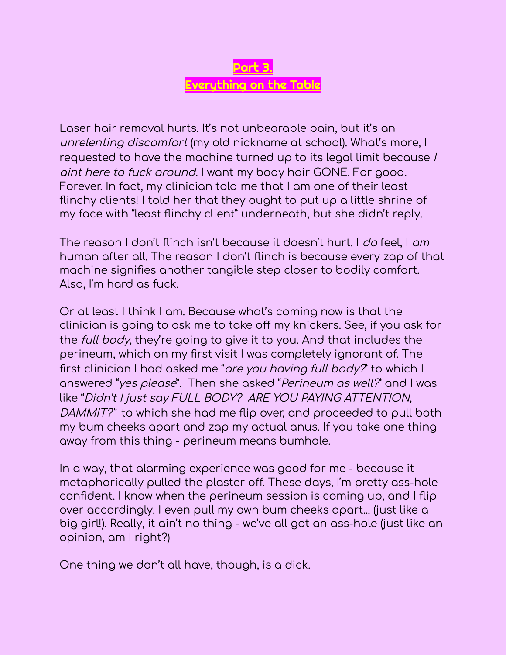

Laser hair removal hurts. It's not unbearable pain, but it's an unrelenting discomfort (my old nickname at school). What's more, I requested to have the machine turned up to its legal limit because I aint here to fuck around. I want my body hair GONE. For good. Forever. In fact, my clinician told me that I am one of their least flinchy clients! I told her that they ought to put up a little shrine of my face with "least flinchy client" underneath, but she didn't reply.

The reason I don't flinch isn't because it doesn't hurt. I *do* feel, I am human after all. The reason I don't flinch is because every zap of that machine signifies another tangible step closer to bodily comfort. Also, I'm hard as fuck.

Or at least I think I am. Because what's coming now is that the clinician is going to ask me to take off my knickers. See, if you ask for the full body, they're going to give it to you. And that includes the perineum, which on my first visit I was completely ignorant of. The first clinician I had asked me "are you having full body?" to which I answered "yes please". Then she asked "Perineum as well?" and I was like "Didn't I just say FULL BODY? ARE YOU PAYING ATTENTION, DAMMIT?" to which she had me flip over, and proceeded to pull both my bum cheeks apart and zap my actual anus. If you take one thing away from this thing - perineum means bumhole.

In a way, that alarming experience was good for me - because it metaphorically pulled the plaster off. These days, I'm pretty ass-hole confident. I know when the perineum session is coming up, and I flip over accordingly. I even pull my own bum cheeks apart... (just like a big girl!). Really, it ain't no thing - we've all got an ass-hole (just like an opinion, am I right?)

One thing we don't all have, though, is a dick.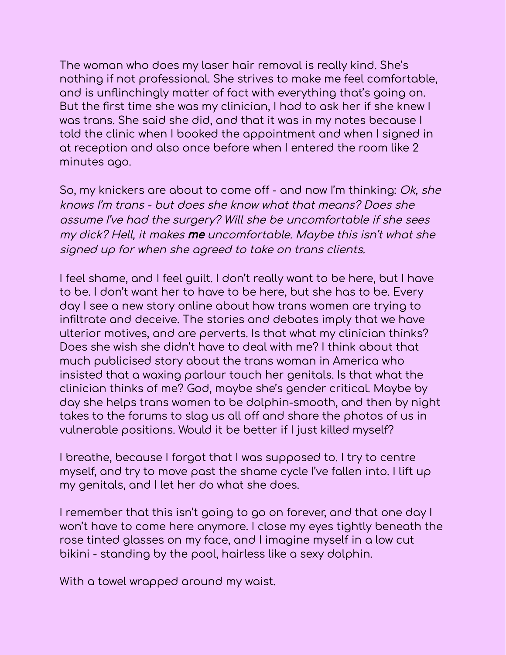The woman who does my laser hair removal is really kind. She's nothing if not professional. She strives to make me feel comfortable, and is unflinchingly matter of fact with everything that's going on. But the first time she was my clinician, I had to ask her if she knew I was trans. She said she did, and that it was in my notes because I told the clinic when I booked the appointment and when I signed in at reception and also once before when I entered the room like 2 minutes ago.

So, my knickers are about to come off - and now I'm thinking: Ok, she knows I'm trans - but does she know what that means? Does she assume I've had the surgery? Will she be uncomfortable if she sees my dick? Hell, it makes me uncomfortable. Maybe this isn't what she signed up for when she agreed to take on trans clients.

I feel shame, and I feel guilt. I don't really want to be here, but I have to be. I don't want her to have to be here, but she has to be. Every day I see a new story online about how trans women are trying to infiltrate and deceive. The stories and debates imply that we have ulterior motives, and are perverts. Is that what my clinician thinks? Does she wish she didn't have to deal with me? I think about that much publicised story about the trans woman in America who insisted that a waxing parlour touch her genitals. Is that what the clinician thinks of me? God, maybe she's gender critical. Maybe by day she helps trans women to be dolphin-smooth, and then by night takes to the forums to slag us all off and share the photos of us in vulnerable positions. Would it be better if I just killed myself?

I breathe, because I forgot that I was supposed to. I try to centre myself, and try to move past the shame cycle I've fallen into. I lift up my genitals, and I let her do what she does.

I remember that this isn't going to go on forever, and that one day I won't have to come here anymore. I close my eyes tightly beneath the rose tinted glasses on my face, and I imagine myself in a low cut bikini - standing by the pool, hairless like a sexy dolphin.

With a towel wrapped around my waist.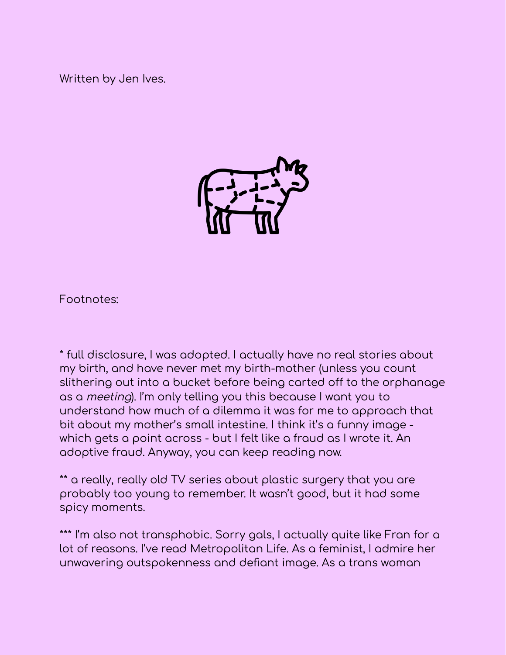Written by Jen Ives.



Footnotes:

\* full disclosure, I was adopted. I actually have no real stories about my birth, and have never met my birth-mother (unless you count slithering out into a bucket before being carted off to the orphanage as a meeting). I'm only telling you this because I want you to understand how much of a dilemma it was for me to approach that bit about my mother's small intestine. I think it's a funny image which gets a point across - but I felt like a fraud as I wrote it. An adoptive fraud. Anyway, you can keep reading now.

\*\* a really, really old TV series about plastic surgery that you are probably too young to remember. It wasn't good, but it had some spicy moments.

\*\*\* I'm also not transphobic. Sorry gals, I actually quite like Fran for a lot of reasons. I've read Metropolitan Life. As a feminist, I admire her unwavering outspokenness and defiant image. As a trans woman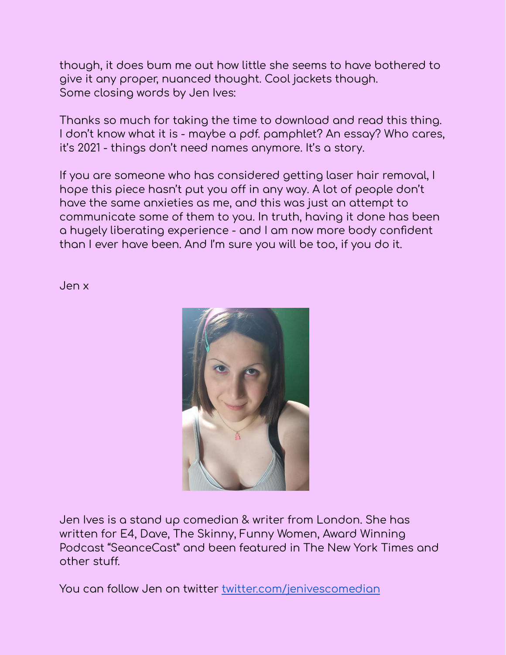though, it does bum me out how little she seems to have bothered to give it any proper, nuanced thought. Cool jackets though. Some closing words by Jen Ives:

Thanks so much for taking the time to download and read this thing. I don't know what it is - maybe a pdf. pamphlet? An essay? Who cares, it's 2021 - things don't need names anymore. It's a story.

If you are someone who has considered getting laser hair removal, I hope this piece hasn't put you off in any way. A lot of people don't have the same anxieties as me, and this was just an attempt to communicate some of them to you. In truth, having it done has been a hugely liberating experience - and I am now more body confident than I ever have been. And I'm sure you will be too, if you do it.

Jen x



Jen Ives is a stand up comedian & writer from London. She has written for E4, Dave, The Skinny, Funny Women, Award Winning Podcast "SeanceCast" and been featured in The New York Times and other stuff.

You can follow Jen on twitter [twitter.com/jenivescomedian](http://twitter.com/jenivescomedian)